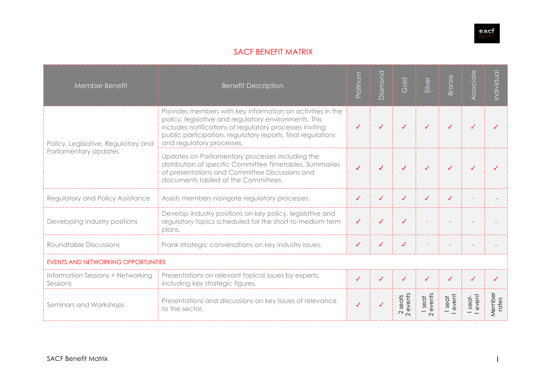

## SACF BENEFIT MATRIX

| Member Benefit                                                      | <b>Benefit Description</b>                                                                                                                                                                                                                                                 | Platinum | Diamond | Gold                                | Silver                     | Bronze        | Associate      | ndividual       |
|---------------------------------------------------------------------|----------------------------------------------------------------------------------------------------------------------------------------------------------------------------------------------------------------------------------------------------------------------------|----------|---------|-------------------------------------|----------------------------|---------------|----------------|-----------------|
| Policy, Legislative, Regulatory and<br><b>Parliamentary Updates</b> | Provides members with key information on activities in the<br>policy, legislative and regulatory environments. This<br>includes notifications of regulatory processes inviting<br>public participation, regulatory reports, final regulations<br>and regulatory processes. |          | J       | ℐ                                   |                            |               |                |                 |
|                                                                     | Updates on Parliamentary processes including the<br>distribution of specific Committee Timetables, Summaries<br>of presentations and Committee Discussions and<br>documents tabled at the Committees.                                                                      |          | ✓       | ℐ                                   |                            | J             |                |                 |
| Regulatory and Policy Assistance                                    | Assists members navigate regulatory processes.                                                                                                                                                                                                                             | ✓        | ✓       | ✓                                   | ✓                          | ✓             |                |                 |
| Developing industry positions                                       | Develop industry positions on key policy, legislative and<br>regulatory topics scheduled for the short to medium term<br>plans.                                                                                                                                            | ✓        | ✓       | ✓                                   |                            |               |                |                 |
| <b>Roundtable Discussions</b>                                       | Frank strategic conversations on key industry issues.                                                                                                                                                                                                                      |          | ✓       | ✓                                   |                            |               |                |                 |
| <b>EVENTS AND NETWORKING OPPORTUNITIES</b>                          |                                                                                                                                                                                                                                                                            |          |         |                                     |                            |               |                |                 |
| Information Sessions + Networking<br>Sessions                       | Presentations on relevant topical issues by experts,<br>including key strategic figures.                                                                                                                                                                                   |          |         | ✓                                   |                            |               |                |                 |
| Seminars and Workshops                                              | Presentations and discussions on key issues of relevance<br>to the sector.                                                                                                                                                                                                 |          |         | events<br>seats<br>$\sim$<br>$\sim$ | 1 seat<br>events<br>$\sim$ | seat<br>event | seat-<br>event | Member<br>rates |